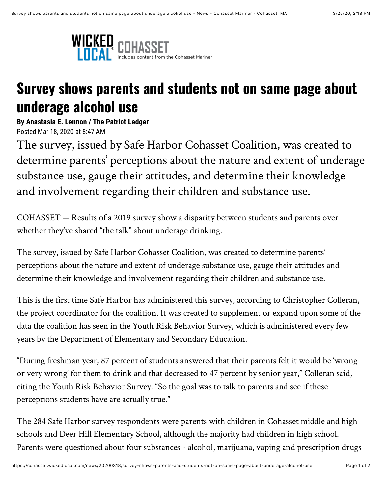

## **Survey shows parents and students not on same page about underage alcohol use**

**By Anastasia E. Lennon / The Patriot Ledger** Posted Mar 18, 2020 at 8:47 AM

The survey, issued by Safe Harbor Cohasset Coalition, was created to determine parents' perceptions about the nature and extent of underage substance use, gauge their attitudes, and determine their knowledge and involvement regarding their children and substance use.

COHASSET — Results of a 2019 survey show a disparity between students and parents over whether they've shared "the talk" about underage drinking.

The survey, issued by Safe Harbor Cohasset Coalition, was created to determine parents' perceptions about the nature and extent of underage substance use, gauge their attitudes and determine their knowledge and involvement regarding their children and substance use.

This is the first time Safe Harbor has administered this survey, according to Christopher Colleran, the project coordinator for the coalition. It was created to supplement or expand upon some of the data the coalition has seen in the Youth Risk Behavior Survey, which is administered every few years by the Department of Elementary and Secondary Education.

"During freshman year, 87 percent of students answered that their parents felt it would be 'wrong or very wrong' for them to drink and that decreased to 47 percent by senior year," Colleran said, citing the Youth Risk Behavior Survey. "So the goal was to talk to parents and see if these perceptions students have are actually true."

The 284 Safe Harbor survey respondents were parents with children in Cohasset middle and high schools and Deer Hill Elementary School, although the majority had children in high school. Parents were questioned about four substances - alcohol, marijuana, vaping and prescription drugs